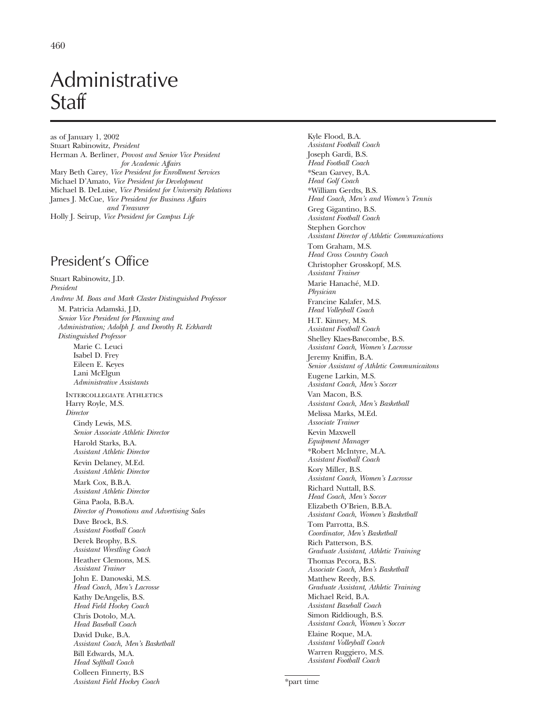# Administrative **Staff**

as of January 1, 2002 Stuart Rabinowitz, *President* Herman A. Berliner, *Provost and Senior Vice President for Academic Affairs* Mary Beth Carey, *Vice President for Enrollment Services* Michael D'Amato, *Vice President for Development* Michael B. DeLuise, *Vice President for University Relations* James J. McCue, *Vice President for Business Affairs and Treasurer* Holly J. Seirup, *Vice President for Campus Life*

# President's Office

Stuart Rabinowitz, J.D. *President Andrew M. Boas and Mark Claster Distinguished Professor* M. Patricia Adamski, J.D, *Senior Vice President for Planning and Administration; Adolph J. and Dorothy R. Eckhardt Distinguished Professor* Marie C. Leuci Isabel D. Frey Eileen E. Keyes Lani McElgun *Administrative Assistants* Intercollegiate Athletics Harry Royle, M.S. *Director* Cindy Lewis, M.S. *Senior Associate Athletic Director* Harold Starks, B.A. *Assistant Athletic Director* Kevin Delaney, M.Ed. *Assistant Athletic Director* Mark Cox, B.B.A. *Assistant Athletic Director* Gina Paola, B.B.A. *Director of Promotions and Advertising Sales* Dave Brock, B.S. *Assistant Football Coach* Derek Brophy, B.S. *Assistant Wrestling Coach* Heather Clemons, M.S. *Assistant Trainer* John E. Danowski, M.S. *Head Coach, Men's Lacrosse* Kathy DeAngelis, B.S. *Head Field Hockey Coach* Chris Dotolo, M.A. *Head Baseball Coach* David Duke, B.A. *Assistant Coach, Men's Basketball* Bill Edwards, M.A. *Head Softball Coach* Colleen Finnerty, B.S *Assistant Field Hockey Coach*

Kyle Flood, B.A. *Assistant Football Coach* Joseph Gardi, B.S. *Head Football Coach* \*Sean Garvey, B.A. *Head Golf Coach* \*William Gerdts, B.S. *Head Coach, Men's and Women's Tennis* Greg Gigantino, B.S. *Assistant Football Coach* Stephen Gorchov *Assistant Director of Athletic Communications* Tom Graham, M.S. *Head Cross Country Coach* Christopher Grosskopf, M.S. *Assistant Trainer* Marie Hanaché, M.D. *Physician* Francine Kalafer, M.S. *Head Volleyball Coach* H.T. Kinney, M.S. *Assistant Football Coach* Shelley Klaes-Bawcombe, B.S. *Assistant Coach, Women's Lacrosse* Jeremy Kniffin, B.A. *Senior Assistant of Athletic Communicaitons* Eugene Larkin, M.S. *Assistant Coach, Men's Soccer* Van Macon, B.S. *Assistant Coach, Men's Basketball* Melissa Marks, M.Ed. *Associate Trainer* Kevin Maxwell *Equipment Manager* \*Robert McIntyre, M.A. *Assistant Football Coach* Kory Miller, B.S. *Assistant Coach, Women's Lacrosse* Richard Nuttall, B.S. *Head Coach, Men's Soccer* Elizabeth O'Brien, B.B.A. *Assistant Coach, Women's Basketball* Tom Parrotta, B.S. *Coordinator, Men's Basketball* Rich Patterson, B.S. *Graduate Assistant, Athletic Training* Thomas Pecora, B.S. *Associate Coach, Men's Basketball* Matthew Reedy, B.S. *Graduate Assistant, Athletic Training* Michael Reid, B.A. *Assistant Baseball Coach* Simon Riddiough, B.S. *Assistant Coach, Women's Soccer* Elaine Roque, M.A. *Assistant Volleyball Coach* Warren Ruggiero, M.S. *Assistant Football Coach*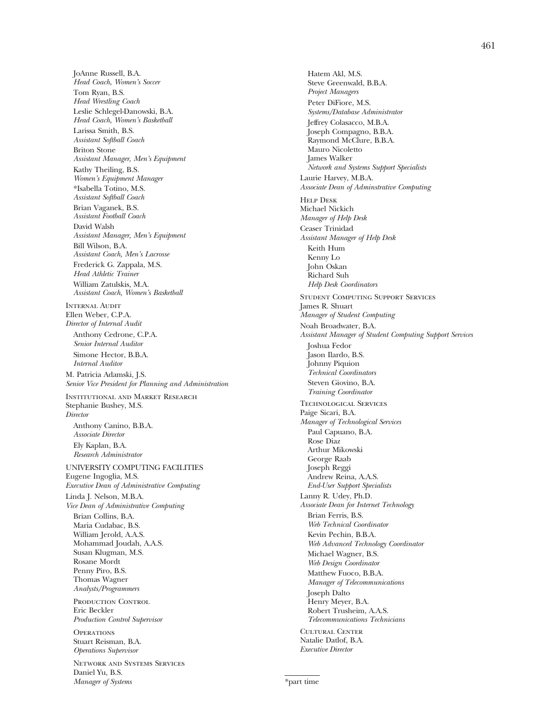JoAnne Russell, B.A. *Head Coach, Women's Soccer* Tom Ryan, B.S. *Head Wrestling Coach* Leslie Schlegel-Danowski, B.A. *Head Coach, Women's Basketball* Larissa Smith, B.S. *Assistant Softball Coach* Briton Stone *Assistant Manager, Men's Equipment* Kathy Theiling, B.S. *Women's Equipment Manager* \*Isabella Totino, M.S. *Assistant Softball Coach* Brian Vaganek, B.S. *Assistant Football Coach* David Walsh *Assistant Manager, Men's Equipment* Bill Wilson, B.A. *Assistant Coach, Men's Lacrosse* Frederick G. Zappala, M.S. *Head Athletic Trainer* William Zatulskis, M.A. *Assistant Coach, Women's Basketball* INTERNAL AUDIT Ellen Weber, C.P.A. *Director of Internal Audit* Anthony Cedrone, C.P.A. *Senior Internal Auditor* Simone Hector, B.B.A. *Internal Auditor* M. Patricia Adamski, J.S. *Senior Vice President for Planning and Administration* Institutional and Market Research Stephanie Bushey, M.S. *Director* Anthony Canino, B.B.A. *Associate Director* Ely Kaplan, B.A. *Research Administrator* UNIVERSITY COMPUTING FACILITIES Eugene Ingoglia, M.S. *Executive Dean of Administrative Computing* Linda J. Nelson, M.B.A. *Vice Dean of Administrative Computing* Brian Collins, B.A. Maria Cudabac, B.S. William Jerold, A.A.S. Mohammad Joudah, A.A.S. Susan Klugman, M.S. Rosane Mordt Penny Piro, B.S. Thomas Wagner *Analysts/Programmers* PRODUCTION CONTROL Eric Beckler *Production Control Supervisor* **OPERATIONS** Stuart Reisman, B.A. *Operations Supervisor* Network and Systems Services Daniel Yu, B.S.

*Manager of Systems*

Hatem Akl, M.S. Steve Greenwald, B.B.A. *Project Managers* Peter DiFiore, M.S. *Systems/Database Administrator* Jeffrey Colasacco, M.B.A. Joseph Compagno, B.B.A. Raymond McClure, B.B.A. Mauro Nicoletto James Walker *Network and Systems Support Specialists* Laurie Harvey, M.B.A. *Associate Dean of Adminstrative Computing* Help Desk Michael Nickich *Manager of Help Desk* Ceaser Trinidad *Assistant Manager of Help Desk* Keith Hum Kenny Lo John Oskan Richard Suh *Help Desk Coordinators* Student Computing Support Services James R. Shuart *Manager of Student Computing* Noah Broadwater, B.A. *Assistant Manager of Student Computing Support Services* Joshua Fedor Jason Ilardo, B.S. Johnny Piquion *Technical Coordinators* Steven Giovino, B.A. *Training Coordinator* Technological Services Paige Sicari, B.A. *Manager of Technological Services* Paul Capuano, B.A. Rose Diaz Arthur Mikowski George Raab Joseph Reggi Andrew Reina, A.A.S. *End-User Support Specialists* Lanny R. Udey, Ph.D. *Associate Dean for Internet Technology* Brian Ferris, B.S. *Web Technical Coordinator* Kevin Pechin, B.B.A. *Web Advanced Technology Coordinator* Michael Wagner, B.S. *Web Design Coordinator* Matthew Fuoco, B.B.A. *Manager of Telecommunications* Joseph Dalto Henry Meyer, B.A. Robert Trusheim, A.A.S. *Telecommunications Technicians* Cultural Center Natalie Datlof, B.A. *Executive Director*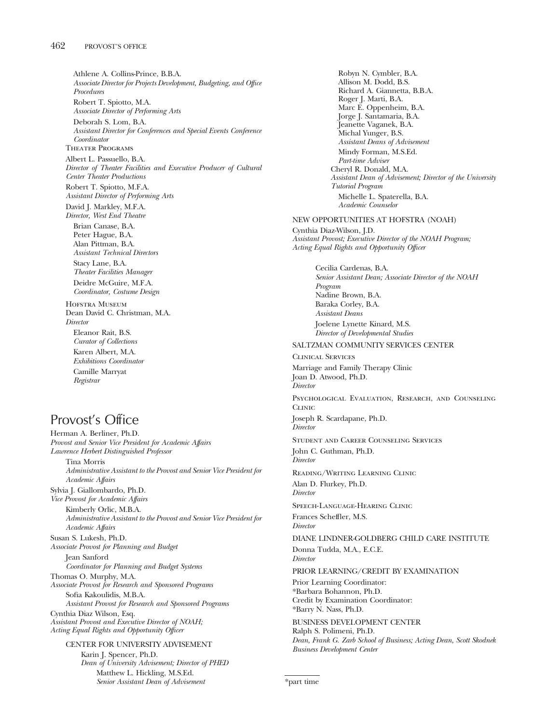Athlene A. Collins-Prince, B.B.A. *Associate Director for Projects Development, Budgeting, and Office Procedures* Robert T. Spiotto, M.A. *Associate Director of Performing Arts* Deborah S. Lom, B.A. *Assistant Director for Conferences and Special Events Conference Coordinator* Theater Programs Albert L. Passuello, B.A. *Director of Theater Facilities and Executive Producer of Cultural Center Theater Productions* Robert T. Spiotto, M.F.A. *Assistant Director of Performing Arts* David J. Markley, M.F.A. *Director, West End Theatre* Brian Canase, B.A. Peter Hague, B.A. Alan Pittman, B.A. *Assistant Technical Directors* Stacy Lane, B.A. *Theater Facilities Manager* Deidre McGuire, M.F.A. *Coordinator, Costume Design* Hofstra Museum Dean David C. Christman, M.A. *Director* Eleanor Rait, B.S. *Curator of Collections* Karen Albert, M.A. *Exhibitions Coordinator* Camille Marryat *Registrar* Provost's Office Herman A. Berliner, Ph.D. *Provost and Senior Vice President for Academic Affairs*

*Lawrence Herbert Distinguished Professor* Tina Morris *Administrative Assistant to the Provost and Senior Vice President for Academic Affairs* Sylvia J. Giallombardo, Ph.D. *Vice Provost for Academic Affairs* Kimberly Orlic, M.B.A. *Administrative Assistant to the Provost and Senior Vice President for Academic Affairs* Susan S. Lukesh, Ph.D. *Associate Provost for Planning and Budget* Jean Sanford *Coordinator for Planning and Budget Systems* Thomas O. Murphy, M.A. *Associate Provost for Research and Sponsored Programs* Sofia Kakoulidis, M.B.A. *Assistant Provost for Research and Sponsored Programs* Cynthia Diaz Wilson, Esq. *Assistant Provost and Executive Director of NOAH; Acting Equal Rights and Opportunity Officer* CENTER FOR UNIVERSITY ADVISEMENT

Karin J. Spencer, Ph.D. *Dean of University Advisement; Director of PHED* Matthew L. Hickling, M.S.Ed. *Senior Assistant Dean of Advisement*

Robyn N. Cymbler, B.A. Allison M. Dodd, B.S. Richard A. Giannetta, B.B.A. Roger J. Marti, B.A. Marc E. Oppenheim, B.A. Jorge J. Santamaria, B.A. Jeanette Vaganek, B.A. Michal Yunger, B.S. *Assistant Deans of Advisement* Mindy Forman, M.S.Ed. *Part-time Adviser* Cheryl R. Donald, M.A. *Assistant Dean of Advisement; Director of the University Tutorial Program* Michelle L. Spaterella, B.A. *Academic Counselor* NEW OPPORTUNITIES AT HOFSTRA (NOAH) Cynthia Diaz-Wilson, J.D. *Assistant Provost; Executive Director of the NOAH Program; Acting Equal Rights and Opportunity Officer* Cecilia Cardenas, B.A. *Senior Assistant Dean; Associate Director of the NOAH Program* Nadine Brown, B.A. Baraka Corley, B.A. *Assistant Deans* Joelene Lynette Kinard, M.S. *Director of Developmental Studies* SALTZMAN COMMUNITY SERVICES CENTER Clinical Services Marriage and Family Therapy Clinic Joan D. Atwood, Ph.D. *Director* Psychological Evaluation, Research, and Counseling **CLINIC** Joseph R. Scardapane, Ph.D. *Director* Student and Career Counseling Services John C. Guthman, Ph.D. *Director* Reading/Writing Learning Clinic Alan D. Flurkey, Ph.D. *Director* Speech-Language-Hearing Clinic Frances Scheffler, M.S. *Director* DIANE LINDNER-GOLDBERG CHILD CARE INSTITUTE Donna Tudda, M.A., E.C.E. *Director* PRIOR LEARNING/CREDIT BY EXAMINATION Prior Learning Coordinator: \*Barbara Bohannon, Ph.D. Credit by Examination Coordinator: \*Barry N. Nass, Ph.D. BUSINESS DEVELOPMENT CENTER Ralph S. Polimeni, Ph.D. *Dean, Frank G. Zarb School of Business; Acting Dean, Scott Skodnek Business Development Center*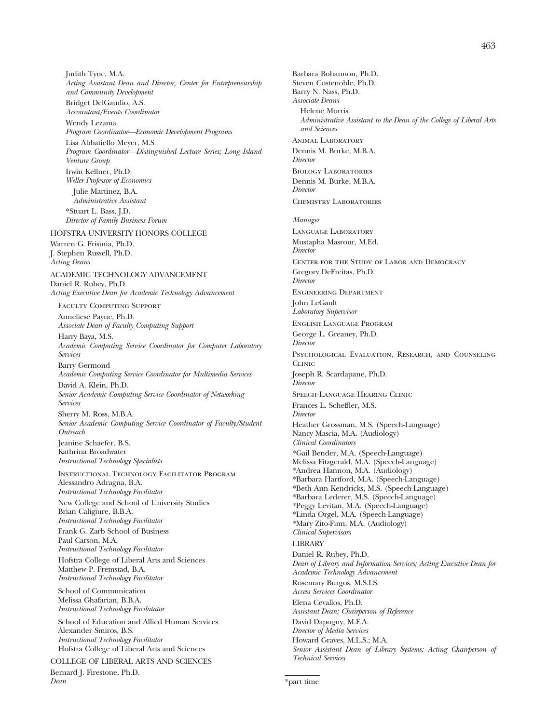Judith Tyne, M.A. *Acting Assistant Dean and Director, Center for Entrepreneurship and Community Development*

Bridget DelGaudio, A.S. *Accountant/Events Coordinator*

Wendy Lezama *Program Coordinator—Economic Development Programs* Lisa Abbatiello Meyer, M.S. *Program Coordinator—Distinguished Lecture Series; Long Island Venture Group* Irwin Kellner, Ph.D. *Weller Professor of Economics* Julie Martinez, B.A. *Administrative Assistant*

\*Stuart L. Bass, J.D. *Director of Family Business Forum*

HOFSTRA UNIVERSITY HONORS COLLEGE

Warren G. Frisinia, Ph.D. J. Stephen Russell, Ph.D. *Acting Deans*

ACADEMIC TECHNOLOGY ADVANCEMENT Daniel R. Rubey, Ph.D. *Acting Executive Dean for Academic Technology Advancement*

Faculty Computing Support

Anneliese Payne, Ph.D. *Associate Dean of Faculty Computing Support*

Harry Baya, M.S. *Academic Computing Service Coordinator for Computer Laboratory Services*

Barry Germond *Academic Computing Service Coordinator for Multimedia Services*

David A. Klein, Ph.D. *Senior Academic Computing Service Coordinator of Networking Services*

Sherry M. Ross, M.B.A. *Senior Academic Computing Service Coordinator of Faculty/Student Outreach*

Jeanine Schaefer, B.S. Kathrina Broadwater *Instructional Technology Specialists*

Instructional Technology Facilitator Program Alessandro Adragna, B.A. *Instructional Technology Facilitator*

New College and School of University Studies Brian Caligiure, B.B.A. *Instructional Technology Facilitator*

Frank G. Zarb School of Business

Paul Carson, M.A. *Instructional Technology Facilitator* Hofstra College of Liberal Arts and Sciences

Matthew P. Fremstad, B.A. *Instructional Technology Facilitator*

School of Communication Melissa Ghafarian, B.B.A. *Instructional Technology Facilatator*

School of Education and Allied Human Services Alexander Smiros, B.S. *Instructional Technology Facilitator* Hofstra College of Liberal Arts and Sciences

COLLEGE OF LIBERAL ARTS AND SCIENCES Bernard J. Firestone, Ph.D. *Dean*

Barbara Bohannon, Ph.D. Steven Costenoble, Ph.D. Barry N. Nass, Ph.D. *Associate Deans* Helene Morris *Administrative Assistant to the Dean of the College of Liberal Arts and Sciences* ANIMAL LABORATORY Dennis M. Burke, M.B.A. *Director* Biology Laboratories Dennis M. Burke, M.B.A. *Director* Chemistry Laboratories *Manager* Language Laboratory Mustapha Masrour, M.Ed. *Director* Center for the Study of Labor and Democracy Gregory DeFreitas, Ph.D. *Director* Engineering Department John LeGault *Laboratory Supervisor* English Language Program George L. Greaney, Ph.D. *Director* Psychological Evaluation, Research, and Counseling **CLINIC** Joseph R. Scardapane, Ph.D. *Director* Speech-Language-Hearing Clinic Frances L. Scheffler, M.S. *Director* Heather Grossman, M.S. (Speech-Language) Nancy Mascia, M.A. (Audiology) *Clinical Coordinators* \*Gail Bender, M.A. (Speech-Language) Melissa Fitzgerald, M.A. (Speech-Language) \*Andrea Hannon, M.A. (Audiology) \*Barbara Hartford, M.A. (Speech-Language) \*Beth Ann Kendricks, M.S. (Speech-Language) \*Barbara Lederer, M.S. (Speech-Language) \*Peggy Levitan, M.A. (Speech-Language) \*Linda Orgel, M.A. (Speech-Language) \*Mary Zito-Finn, M.A. (Audiology) *Clinical Supervisors* **LIBRARY** Daniel R. Rubey, Ph.D. *Dean of Library and Information Services; Acting Executive Dean for Academic Technology Advancement* Rosemary Burgos, M.S.I.S. *Access Services Coordinator* Elena Cevallos, Ph.D. *Assistant Dean; Chairperson of Reference* David Dapogny, M.F.A. *Director of Media Services* Howard Graves, M.L.S.; M.A. *Senior Assistant Dean of Library Systems; Acting Chairperson of Technical Services*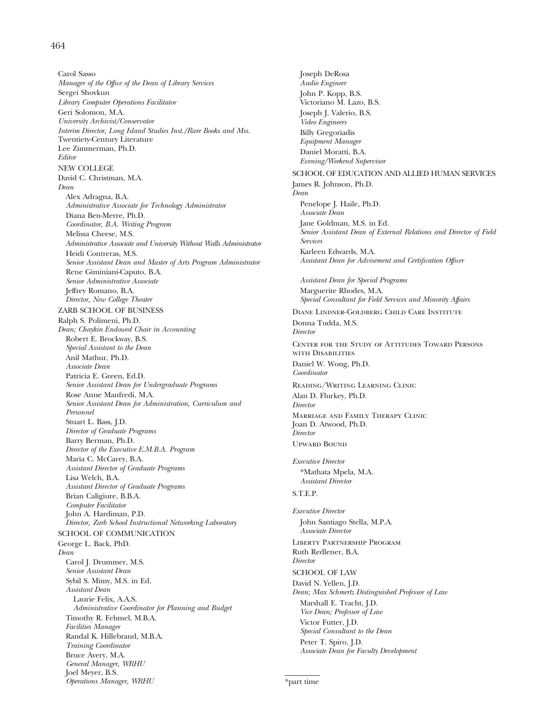### 464

Carol Sasso *Manager of the Office of the Dean of Library Services* Sergei Shovkun *Library Computer Operations Facilitator* Geri Solomon, M.A. *University Archivist/Conservator Interim Director, Long Island Studies Inst./Rare Books and Mss.* Twentiety-Century Literature Lee Zimmerman, Ph.D. *Editor* NEW COLLEGE David C. Christman, M.A. *Dean* Alex Adragna, B.A. *Administrative Associate for Technology Administrator* Diana Ben-Merre, Ph.D. *Coordinator, B.A. Writing Program* Melissa Cheese, M.S. *Administrative Associate and University Without Walls Administrator* Heidi Contreras, M.S. *Senior Assistant Dean and Master of Arts Program Administrator* Rene Giminiani-Caputo, B.A. *Senior Administrative Associate* Jeffrey Romano, B.A. *Director, New College Theater* ZARB SCHOOL OF BUSINESS Ralph S. Polimeni, Ph.D. *Dean; Chaykin Endowed Chair in Accounting* Robert E. Brockway, B.S. *Special Assistant to the Dean* Anil Mathur, Ph.D. *Associate Dean* Patricia E. Green, Ed.D. *Senior Assistant Dean for Undergraduate Programs* Rose Anne Manfredi, M.A. *Senior Assistant Dean for Administration, Curriculum and Personnel* Stuart L. Bass, J.D. *Director of Graduate Programs* Barry Berman, Ph.D. *Director of the Executive E.M.B.A. Program* Maria C. McCarey, B.A. *Assistant Director of Graduate Programs* Lisa Welch, B.A. *Assistant Director of Graduate Programs* Brian Caligiure, B.B.A. *Computer Facilitator* John A. Hardiman, P.D. *Director, Zarb School Instructional Networking Laboratory* SCHOOL OF COMMUNICATION George L. Back, PhD. *Dean* Carol J. Drummer, M.S. *Senior Assistant Dean* Sybil S. Mimy, M.S. in Ed. *Assistant Dean* Laurie Felix, A.A.S. *Administrative Coordinator for Planning and Budget* Timothy R. Fehmel, M.B.A. *Facilities Manager* Randal K. Hillebrand, M.B.A. *Training Coordinator* Bruce Avery, M.A. *General Manager, WRHU* Joel Meyer, B.S. *Operations Manager, WRHU*

Joseph DeRosa *Audio Engineer* John P. Kopp, B.S. Victoriano M. Lazo, B.S. Joseph J. Valerio, B.S. *Video Engineers* Billy Gregoriadis *Equipment Manager* Daniel Moratti, B.A. *Evening/Weekend Supervisor* SCHOOL OF EDUCATION AND ALLIED HUMAN SERVICES James R. Johnson, Ph.D. *Dean* Penelope J. Haile, Ph.D. *Associate Dean* Jane Goldman, M.S. in Ed. *Senior Assistant Dean of External Relations and Director of Field Services* Karleen Edwards, M.A. *Assistant Dean for Advisement and Certification Officer Assistant Dean for Special Programs* Marguerite Rhodes, M.A. *Special Consultant for Field Services and Minority Affairs* Diane Lindner-Goldberg Child Care Institute Donna Tudda, M.S. *Director* Center for the Study of Attitudes Toward Persons with Disabilities Daniel W. Wong, Ph.D. *Coordinator* Reading/Writing Learning Clinic Alan D. Flurkey, Ph.D. *Director* Marriage and Family Therapy Clinic Joan D. Atwood, Ph.D. *Director* Upward Bound *Executive Director* \*Mathata Mpela, M.A. *Assistant Director* S.T.E.P. *Executive Director* John Santiago Stella, M.P.A. *Associate Director* Liberty Partnership Program Ruth Redlener, B.A. *Director* SCHOOL OF LAW David N. Yellen, J.D. *Dean; Max Schmertz Distinguished Professor of Law* Marshall E. Tracht, J.D. *Vice Dean; Professor of Law* Victor Futter, J.D. *Special Consultant to the Dean* Peter T. Spiro, J.D. *Associate Dean for Faculty Development*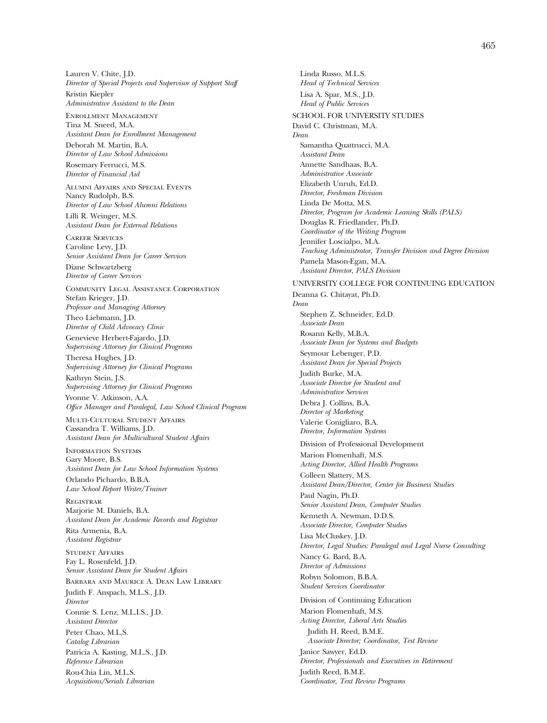Lauren V. Chite, J.D. *Director of Special Projects and Supervisor of Support Staff* Kristin Kiepler *Administrative Assistant to the Dean*

Enrollment Management Tina M. Sneed, M.A. *Assistant Dean for Enrollment Management*

Deborah M. Martin, B.A. *Director of Law School Admissions*

Rosemary Ferrucci, M.S. *Director of Financial Aid*

Alumni Affairs and Special Events Nancy Rudolph, B.S. *Director of Law School Alumni Relations* Lilli R. Weinger, M.S.

*Assistant Dean for External Relations* Career Services

Caroline Levy, J.D. *Senior Assistant Dean for Career Services* Diane Schwartzberg

*Director of Career Services*

Community Legal Assistance Corporation Stefan Krieger, J.D. *Professor and Managing Attorney* Theo Liebmann, J.D.

*Director of Child Advocacy Clinic* Genevieve Herbert-Fajardo, J.D.

*Supervising Attorney for Clinical Programs*

Theresa Hughes, J.D. *Supervising Attorney for Clinical Programs* Kathryn Stein, J.S.

*Supervising Attorney for Clinical Programs* Yvonne V. Atkinson, A.A.

*Office Manager and Paralegal, Law School Clinical Program*

Multi-Cultural Student Affairs Cassandra T. Williams, J.D. *Assistant Dean for Multicultural Student Affairs*

Information Systems Gary Moore, B.S. *Assistant Dean for Law School Information Systems*

Orlando Pichardo, B.B.A. *Law School Report Writer/Trainer*

Registrar Marjorie M. Daniels, B.A. *Assistant Dean for Academic Records and Registrar* Rita Armenia, B.A. *Assistant Registrar*

Student Affairs Fay L. Rosenfeld, J.D. *Senior Assistant Dean for Student Affairs* Barbara and Maurice A. Dean Law Library Judith F. Anspach, M.L.S., J.D. *Director* Connie S. Lenz, M.L.I.S., J.D.

*Assistant Director*

Peter Chao, M.L.S. *Catalog Librarian*

Patricia A. Kasting, M.L.S., J.D. *Reference Librarian*

Rou-Chia Lin, M.L.S. *Acquisitions/Serials Librarian*

Linda Russo, M.L.S. *Head of Technical Services* Lisa A. Spar, M.S., J.D. *Head of Public Services* SCHOOL FOR UNIVERSITY STUDIES David C. Christman, M.A. *Dean* Samantha Quattrucci, M.A. *Assistant Dean* Annette Sandhaas, B.A. *Administrative Associate* Elizabeth Unruh, Ed.D. *Director, Freshman Division* Linda De Motta, M.S. *Director, Program for Academic Leaning Skills (PALS)* Douglas R. Friedlander, Ph.D. *Coordinator of the Writing Program* Jennifer Loscialpo, M.A. *Teaching Administrator, Transfer Division and Degree Division* Pamela Mason-Egan, M.A. *Assistant Director, PALS Division* UNIVERSITY COLLEGE FOR CONTINUING EDUCATION Deanna G. Chitayat, Ph.D. *Dean* Stephen Z. Schneider, Ed.D. *Associate Dean* Rosann Kelly, M.B.A. *Associate Dean for Systems and Budgets* Seymour Lebenger, P.D. *Assistant Dean for Special Projects* Judith Burke, M.A. *Associate Director for Student and Administrative Services* Debra J. Collins, B.A. *Director of Marketing* Valerie Conigliaro, B.A. *Director, Information Systems* Division of Professional Development Marion Flomenhaft, M.S. *Acting Director, Allied Health Programs* Colleen Slattery, M.S. *Assistant Dean/Director, Center for Business Studies* Paul Nagin, Ph.D. *Senior Assistant Dean, Computer Studies* Kenneth A. Newman, D.D.S. *Associate Director, Computer Studies* Lisa McCluskey, J.D.

*Director, Legal Studies: Paralegal and Legal Nurse Consulting* Nancy G. Bard, B.A. *Director of Admissions* Robyn Solomon, B.B.A. *Student Services Coordinator*

Division of Continuing Education Marion Flomenhaft, M.S. *Acting Director, Liberal Arts Studies* Judith H. Reed, B.M.E. *Associate Director; Coordinator, Test Review* Janice Sawyer, Ed.D. *Director, Professionals and Executives in Retirement* Judith Reed, B.M.E. *Coordinator, Text Review Programs*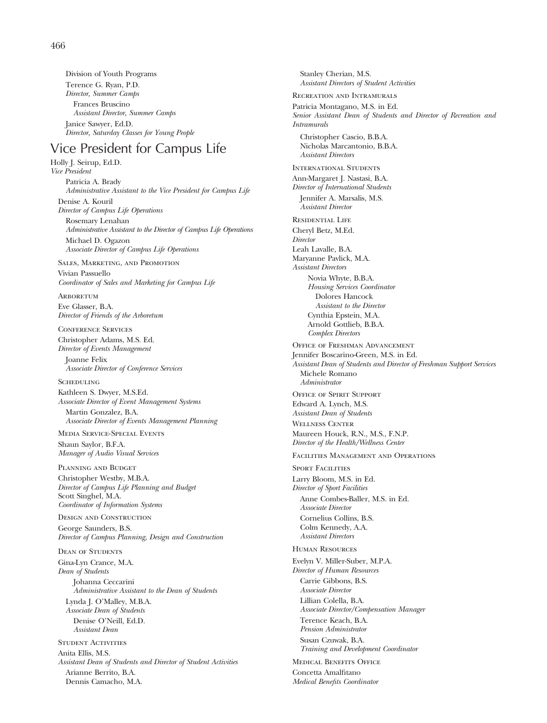Division of Youth Programs Terence G. Ryan, P.D. *Director, Summer Camps* Frances Bruscino *Assistant Director, Summer Camps* Janice Sawyer, Ed.D. *Director, Saturday Classes for Young People*

# Vice President for Campus Life

Holly J. Seirup, Ed.D. *Vice President* Patricia A. Brady *Administrative Assistant to the Vice President for Campus Life*

Denise A. Kouril *Director of Campus Life Operations* Rosemary Lenahan *Administrative Assistant to the Director of Campus Life Operations* Michael D. Ogazon *Associate Director of Campus Life Operations*

Sales, Marketing, and Promotion Vivian Passuello *Coordinator of Sales and Marketing for Campus Life*

**ARBORETUM** 

Eve Glasser, B.A. *Director of Friends of the Arboretum*

Conference Services Christopher Adams, M.S. Ed. *Director of Events Management*

Joanne Felix *Associate Director of Conference Services*

SCHEDULING Kathleen S. Dwyer, M.S.Ed. *Associate Director of Event Management Systems*

Martin Gonzalez, B.A. *Associate Director of Events Management Planning*

Media Service-Special Events Shaun Saylor, B.F.A. *Manager of Audio Visual Services*

Planning and Budget Christopher Westby, M.B.A. *Director of Campus Life Planning and Budget* Scott Singhel, M.A. *Coordinator of Information Systems*

Design and Construction George Saunders, B.S. *Director of Campus Planning, Design and Construction*

Dean of Students Gina-Lyn Crance, M.A. *Dean of Students* Johanna Ceccarini *Administrative Assistant to the Dean of Students* Lynda J. O'Malley, M.B.A. *Associate Dean of Students* Denise O'Neill, Ed.D. *Assistant Dean*

STUDENT ACTIVITIES Anita Ellis, M.S. *Assistant Dean of Students and Director of Student Activities* Arianne Berrito, B.A. Dennis Camacho, M.A.

Stanley Cherian, M.S. *Assistant Directors of Student Activities* Recreation and Intramurals Patricia Montagano, M.S. in Ed. *Senior Assistant Dean of Students and Director of Recreation and Intramurals* Christopher Cascio, B.B.A. Nicholas Marcantonio, B.B.A. *Assistant Directors* International Students Ann-Margaret J. Nastasi, B.A. *Director of International Students* Jennifer A. Marsalis, M.S. *Assistant Director* Residential Life Cheryl Betz, M.Ed. *Director* Leah Lavalle, B.A. Maryanne Pavlick, M.A. *Assistant Directors* Novia Whyte, B.B.A. *Housing Services Coordinator* Dolores Hancock *Assistant to the Director* Cynthia Epstein, M.A. Arnold Gottlieb, B.B.A. *Complex Directors* Office of Freshman Advancement Jennifer Boscarino-Green, M.S. in Ed. *Assistant Dean of Students and Director of Freshman Support Services* Michele Romano *Administrator* Office of Spirit Support Edward A. Lynch, M.S. *Assistant Dean of Students* Wellness Center Maureen Houck, R.N., M.S., F.N.P. *Director of the Health/Wellness Center* Facilities Management and Operations **SPORT FACILITIES** Larry Bloom, M.S. in Ed. *Director of Sport Facilities* Anne Combes-Baller, M.S. in Ed. *Associate Director* Cornelius Collins, B.S. Colm Kennedy, A.A. *Assistant Directors* Human Resources Evelyn V. Miller-Suber, M.P.A. *Director of Human Resources* Carrie Gibbons, B.S. *Associate Director* Lillian Colella, B.A. *Associate Director/Compensation Manager* Terence Keach, B.A. *Pension Administrator* Susan Czuwak, B.A. *Training and Development Coordinator* Medical Benefits Office Concetta Amalfitano

*Medical Benefits Coordinator*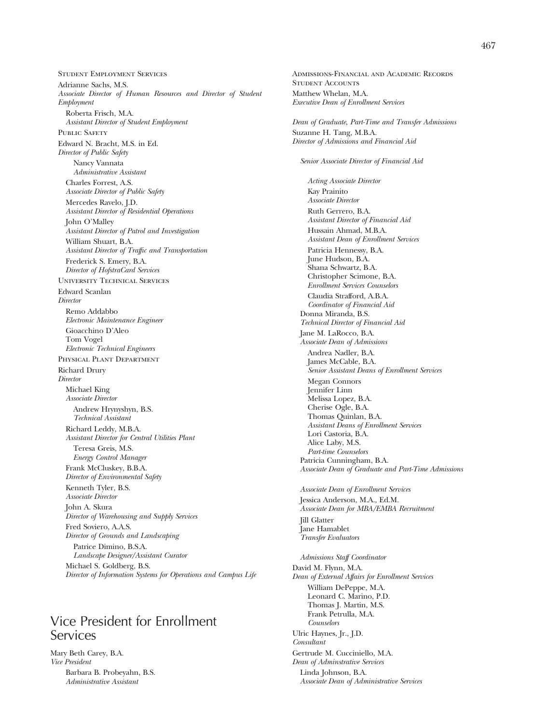Student Employment Services Adrianne Sachs, M.S. *Associate Director of Human Resources and Director of Student Employment* Roberta Frisch, M.A. *Assistant Director of Student Employment* PUBLIC SAFETY Edward N. Bracht, M.S. in Ed. *Director of Public Safety* Nancy Vannata *Administrative Assistant* Charles Forrest, A.S. *Associate Director of Public Safety* Mercedes Ravelo, J.D. *Assistant Director of Residential Operations* John O'Malley *Assistant Director of Patrol and Investigation* William Shuart, B.A. *Assistant Director of Traffic and Transportation* Frederick S. Emery, B.A. *Director of HofstraCard Services* University Technical Services Edward Scanlan *Director* Remo Addabbo *Electronic Maintenance Engineer* Gioacchino D'Aleo Tom Vogel *Electronic Technical Engineers* Physical Plant Department Richard Drury *Director* Michael King *Associate Director* Andrew Hrynyshyn, B.S. *Technical Assistant* Richard Leddy, M.B.A. *Assistant Director for Central Utilities Plant* Teresa Greis, M.S. *Energy Control Manager* Frank McCluskey, B.B.A. *Director of Environmental Safety* Kenneth Tyler, B.S. *Associate Director* John A. Skura *Director of Warehousing and Supply Services* Fred Soviero, A.A.S. *Director of Grounds and Landscaping* Patrice Dimino, B.S.A. *Landscape Designer/Assistant Curator* Michael S. Goldberg, B.S. *Director of Information Systems for Operations and Campus Life*

# Vice President for Enrollment Services

Mary Beth Carey, B.A. *Vice President* Barbara B. Probeyahn, B.S. *Administrative Assistant*

*Executive Dean of Enrollment Services Dean of Graduate, Part-Time and Transfer Admissions* Suzanne H. Tang, M.B.A. *Director of Admissions and Financial Aid Senior Associate Director of Financial Aid Acting Associate Director* Kay Prainito *Associate Director* Ruth Gerrero, B.A. *Assistant Director of Financial Aid* Hussain Ahmad, M.B.A. *Assistant Dean of Enrollment Services* Patricia Hennessy, B.A. June Hudson, B.A. Shana Schwartz, B.A. Christopher Scimone, B.A. *Enrollment Services Counselors* Claudia Strafford, A.B.A. *Coordinator of Financial Aid* Donna Miranda, B.S. *Technical Director of Financial Aid* Jane M. LaRocco, B.A. *Associate Dean of Admissions* Andrea Nadler, B.A. James McCable, B.A. *Senior Assistant Deans of Enrollment Services* Megan Connors Jennifer Linn Melissa Lopez, B.A. Cherise Ogle, B.A. Thomas Quinlan, B.A. *Assistant Deans of Enrollment Services* Lori Castoria, B.A. Alice Laby, M.S. *Part-time Counselors* Patricia Cunningham, B.A. *Associate Dean of Graduate and Part-Time Admissions Associate Dean of Enrollment Services* Jessica Anderson, M.A., Ed.M. *Associate Dean for MBA/EMBA Recruitment* Jill Glatter Jane Hamablet *Transfer Evaluators Admissions Staff Coordinator* David M. Flynn, M.A. *Dean of External Affairs for Enrollment Services* William DePeppe, M.A. Leonard C. Marino, P.D. Thomas J. Martin, M.S. Frank Petrulla, M.A. *Counselors* Ulric Haynes, Jr., J.D. *Consultant* Gertrude M. Cucciniello, M.A. *Dean of Adminstrative Services* Linda Johnson, B.A. *Associate Dean of Administrative Services*

Admissions-Financial and Academic Records

STUDENT ACCOUNTS Matthew Whelan, M.A.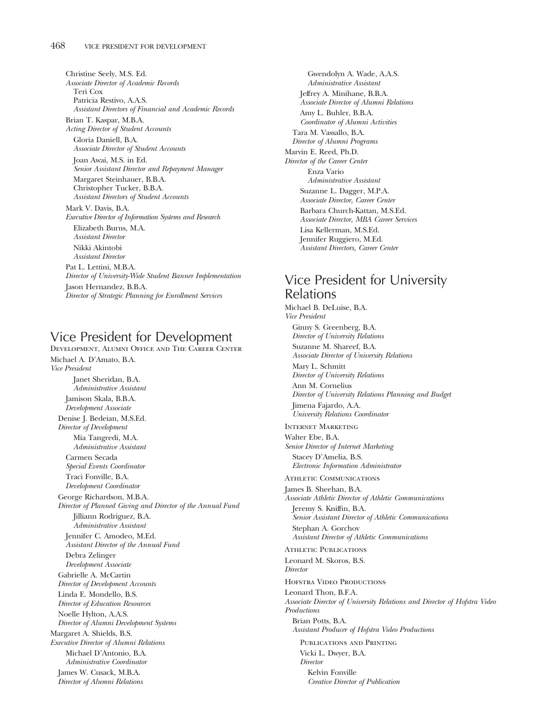Christine Seely, M.S. Ed. *Associate Director of Academic Records* Teri Cox Patricia Restivo, A.A.S. *Assistant Directors of Financial and Academic Records* Brian T. Kaspar, M.B.A. *Acting Director of Student Accounts* Gloria Daniell, B.A. *Associate Director of Student Accounts* Joan Awai, M.S. in Ed. *Senior Assistant Director and Repayment Manager* Margaret Steinhauer, B.B.A. Christopher Tucker, B.B.A. *Assistant Directors of Student Accounts* Mark V. Davis, B.A. *Executive Director of Information Systems and Research* Elizabeth Burns, M.A. *Assistant Director* Nikki Akintobi *Assistant Director* Pat L. Lettini, M.B.A. *Director of University-Wide Student Banner Implementation* Jason Hernandez, B.B.A.

*Director of Strategic Planning for Enrollment Services*

## Vice President for Development

Development, Alumni Office and The Career Center Michael A. D'Amato, B.A. *Vice President* Janet Sheridan, B.A. *Administrative Assistant* Jamison Skala, B.B.A. *Development Associate* Denise J. Bedeian, M.S.Ed. *Director of Development* Mia Tangredi, M.A. *Administrative Assistant* Carmen Secada *Special Events Coordinator* Traci Fonville, B.A. *Development Coordinator* George Richardson, M.B.A. *Director of Planned Giving and Director of the Annual Fund* Jilliann Rodriguez, B.A. *Administrative Assistant* Jennifer C. Amodeo, M.Ed. *Assistant Director of the Annual Fund* Debra Zelinger *Development Associate* Gabrielle A. McCartin *Director of Development Accounts* Linda E. Mondello, B.S. *Director of Education Resources* Noelle Hylton, A.A.S. *Director of Alumni Development Systems* Margaret A. Shields, B.S. *Executive Director of Alumni Relations* Michael D'Antonio, B.A. *Administrative Coordinator* James W. Cusack, M.B.A. *Director of Alumni Relations*

Gwendolyn A. Wade, A.A.S. *Administrative Assistant* Jeffrey A. Minihane, B.B.A. *Associate Director of Alumni Relations* Amy L. Buhler, B.B.A. *Coordinator of Alumni Activities* Tara M. Vassallo, B.A. *Director of Alumni Programs* Marvin E. Reed, Ph.D. *Director of the Career Center* Enza Vario *Administrative Assistant* Suzanne L. Dagger, M.P.A. *Associate Director, Career Center* Barbara Church-Kattan, M.S.Ed. *Associate Director, MBA Career Services* Lisa Kellerman, M.S.Ed. Jennifer Ruggiero, M.Ed. *Assistant Directors, Career Center*

# Vice President for University Relations

Michael B. DeLuise, B.A. *Vice President* Ginny S. Greenberg, B.A. *Director of University Relations* Suzanne M. Shareef, B.A. *Associate Director of University Relations* Mary L. Schmitt *Director of University Relations* Ann M. Cornelius *Director of University Relations Planning and Budget* Jimena Fajardo, A.A. *University Relations Coordinator* Internet Marketing Walter Ebe, B.A. *Senior Director of Internet Marketing* Stacey D'Amelia, B.S. *Electronic Information Administrator* Athletic Communications James B. Sheehan, B.A. *Associate Athletic Director of Athletic Communications* Jeremy S. Kniffin, B.A. *Senior Assistant Director of Athletic Communications* Stephan A. Gorchov *Assistant Director of Athletic Communications* Athletic Publications Leonard M. Skoros, B.S. *Director* HOFSTRA VIDEO PRODUCTIONS Leonard Thon, B.F.A. *Associate Director of University Relations and Director of Hofstra Video Productions* Brian Potts, B.A. *Assistant Producer of Hofstra Video Productions* Publications and Printing Vicki L. Dwyer, B.A. *Director* Kelvin Fonville *Creative Director of Publication*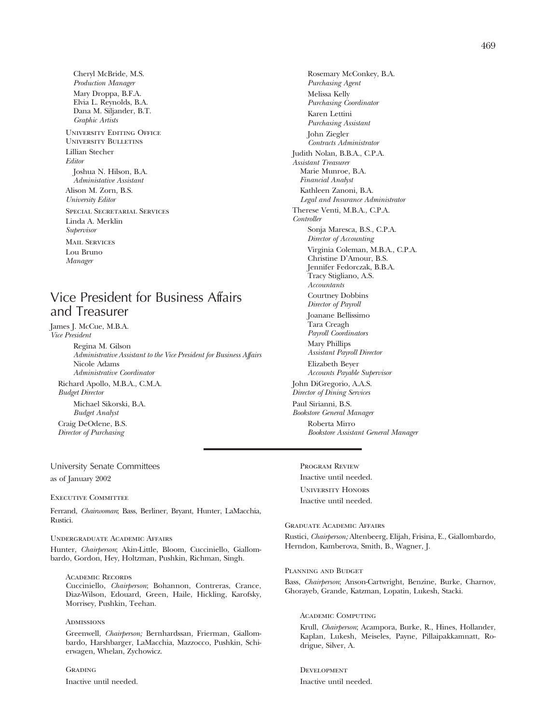Cheryl McBride, M.S. *Production Manager* Mary Droppa, B.F.A. Elvia L. Reynolds, B.A. Dana M. Siljander, B.T. *Graphic Artists* University Editing Office University Bulletins Lillian Stecher *Editor* Joshua N. Hilson, B.A. *Administative Assistant* Alison M. Zorn, B.S. *University Editor* Special Secretarial Services Linda A. Merklin *Supervisor* **MAIL SERVICES** Lou Bruno *Manager*

# Vice President for Business Affairs and Treasurer

James J. McCue, M.B.A. *Vice President*

> Regina M. Gilson *Administrative Assistant to the Vice President for Business Affairs* Nicole Adams *Administrative Coordinator* Richard Apollo, M.B.A., C.M.A. *Budget Director* Michael Sikorski, B.A. *Budget Analyst*

Craig DeOdene, B.S. *Director of Purchasing*

### University Senate Committees as of January 2002

Executive Committee

Ferrand, *Chairwoman*; Bass, Berliner, Bryant, Hunter, LaMacchia, Rustici.

#### Undergraduate Academic Affairs

Hunter, *Chairperson*; Akin-Little, Bloom, Cucciniello, Giallombardo, Gordon, Hey, Holtzman, Pushkin, Richman, Singh.

Academic Records Cucciniello, *Chairperson*; Bohannon, Contreras, Crance, Diaz-Wilson, Edouard, Green, Haile, Hickling, Karofsky, Morrisey, Pushkin, Teehan.

#### **ADMISSIONS**

Greenwell, *Chairperson;* Bernhardssan, Frierman, Giallombardo, Harshbarger, LaMacchia, Mazzocco, Pushkin, Schierwagen, Whelan, Zychowicz.

**GRADING** Inactive until needed.

Rosemary McConkey, B.A. *Purchasing Agent* Melissa Kelly *Purchasing Coordinator* Karen Lettini *Purchasing Assistant* John Ziegler *Contracts Administrator* Judith Nolan, B.B.A., C.P.A. *Assistant Treasurer* Marie Munroe, B.A. *Financial Analyst* Kathleen Zanoni, B.A. *Legal and Insurance Administrator* Therese Venti, M.B.A., C.P.A. *Controller* Sonja Maresca, B.S., C.P.A. *Director of Accounting* Virginia Coleman, M.B.A., C.P.A. Christine D'Amour, B.S. Jennifer Fedorczak, B.B.A. Tracy Stigliano, A.S. *Accountants* Courtney Dobbins *Director of Payroll* Joanane Bellissimo Tara Creagh *Payroll Coordinators* Mary Phillips *Assistant Payroll Director* Elizabeth Beyer *Accounts Payable Supervisor* John DiGregorio, A.A.S. *Director of Dining Services* Paul Sirianni, B.S. *Bookstore General Manager* Roberta Mirro *Bookstore Assistant General Manager*

Program Review Inactive until needed. University Honors Inactive until needed.

Graduate Academic Affairs Rustici, *Chairperson;* Altenbeerg, Elijah, Frisina, E., Giallombardo, Herndon, Kamberova, Smith, B., Wagner, J.

Planning and Budget

Bass, *Chairperson*; Anson-Cartwright, Benzine, Burke, Charnov, Ghorayeb, Grande, Katzman, Lopatin, Lukesh, Stacki.

Academic Computing Krull, *Chairperson*; Acampora, Burke, R., Hines, Hollander, Kaplan, Lukesh, Meiseles, Payne, Pillaipakkamnatt, Rodrigue, Silver, A.

DEVELOPMENT Inactive until needed.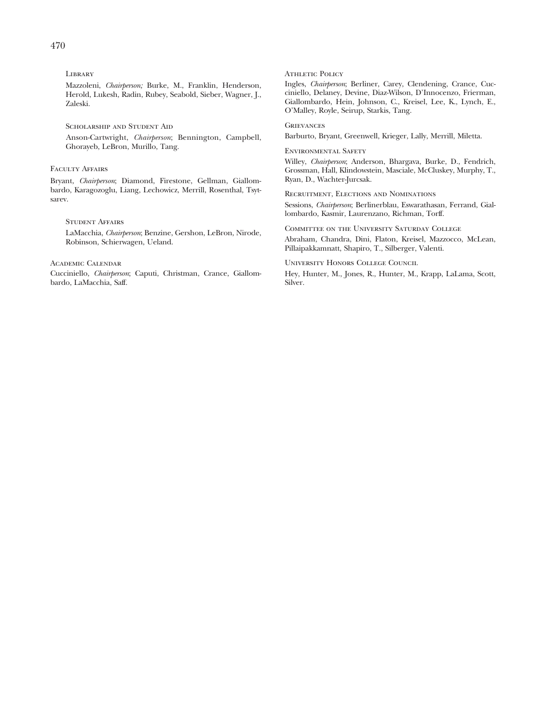Library

Mazzoleni, *Chairperson;* Burke, M., Franklin, Henderson, Herold, Lukesh, Radin, Rubey, Seabold, Sieber, Wagner, J., Zaleski.

SCHOLARSHIP AND STUDENT AID Anson-Cartwright, *Chairperson*; Bennington, Campbell, Ghorayeb, LeBron, Murillo, Tang.

### Faculty Affairs

Bryant, *Chairperson*; Diamond, Firestone, Gellman, Giallombardo, Karagozoglu, Liang, Lechowicz, Merrill, Rosenthal, Tsytsarev.

### Student Affairs

LaMacchia, *Chairperson*; Benzine, Gershon, LeBron, Nirode, Robinson, Schierwagen, Ueland.

### Academic Calendar

Cucciniello, *Chairperson*; Caputi, Christman, Crance, Giallombardo, LaMacchia, Saff.

ATHLETIC POLICY

Ingles, *Chairperson*; Berliner, Carey, Clendening, Crance, Cucciniello, Delaney, Devine, Diaz-Wilson, D'Innocenzo, Frierman, Giallombardo, Hein, Johnson, C., Kreisel, Lee, K., Lynch, E., O'Malley, Royle, Seirup, Starkis, Tang.

#### **GRIEVANCES**

Barburto, Bryant, Greenwell, Krieger, Lally, Merrill, Miletta.

Environmental Safety

Willey, *Chairperson*; Anderson, Bhargava, Burke, D., Fendrich, Grossman, Hall, Klindowstein, Masciale, McCluskey, Murphy, T., Ryan, D., Wachter-Jurcsak.

Recruitment, Elections and Nominations Sessions, *Chairperson*; Berlinerblau, Eswarathasan, Ferrand, Giallombardo, Kasmir, Laurenzano, Richman, Torff.

Committee on the University Saturday College Abraham, Chandra, Dini, Flaton, Kreisel, Mazzocco, McLean, Pillaipakkamnatt, Shapiro, T., Silberger, Valenti.

University Honors College Council

Hey, Hunter, M., Jones, R., Hunter, M., Krapp, LaLama, Scott, Silver.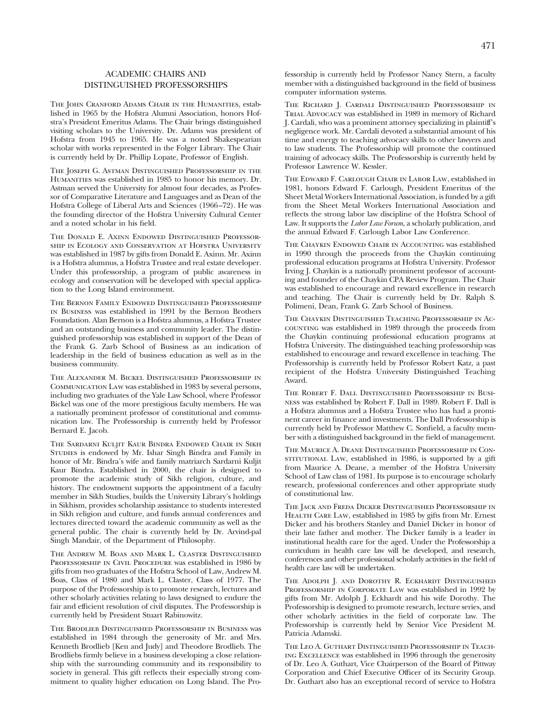### ACADEMIC CHAIRS AND DISTINGUISHED PROFESSORSHIPS

THE JOHN CRANFORD ADAMS CHAIR IN THE HUMANITIES, established in 1965 by the Hofstra Alumni Association, honors Hofstra's President Emeritus Adams. The Chair brings distinguished visiting scholars to the University. Dr. Adams was president of Hofstra from 1945 to 1965. He was a noted Shakespearian scholar with works represented in the Folger Library. The Chair is currently held by Dr. Phillip Lopate, Professor of English.

The Joseph G. Astman Distinguished Professorship in the Humanities was established in 1985 to honor his memory. Dr. Astman served the University for almost four decades, as Professor of Comparative Literature and Languages and as Dean of the Hofstra College of Liberal Arts and Sciences (1966–72). He was the founding director of the Hofstra University Cultural Center and a noted scholar in his field.

The Donald E. Axinn Endowed Distinguished Professorship in Ecology and Conservation at Hofstra University was established in 1987 by gifts from Donald E. Axinn. Mr. Axinn is a Hofstra alumnus, a Hofstra Trustee and real estate developer. Under this professorship, a program of public awareness in ecology and conservation will be developed with special application to the Long Island environment.

The Bernon Family Endowed Distinguished Professorship in Business was established in 1991 by the Bernon Brothers Foundation. Alan Bernon is a Hofstra alumnus, a Hofstra Trustee and an outstanding business and community leader. The distinguished professorship was established in support of the Dean of the Frank G. Zarb School of Business as an indication of leadership in the field of business education as well as in the business community.

The Alexander M. Bickel Distinguished Professorship in Communication Law was established in 1983 by several persons, including two graduates of the Yale Law School, where Professor Bickel was one of the more prestigious faculty members. He was a nationally prominent professor of constitutional and communication law. The Professorship is currently held by Professor Bernard E. Jacob.

The Sardarni Kuljit Kaur Bindra Endowed Chair in Sikh Studies is endowed by Mr. Ishar Singh Bindra and Family in honor of Mr. Bindra's wife and family matriarch Sardarni Kuljit Kaur Bindra. Established in 2000, the chair is designed to promote the academic study of Sikh religion, culture, and history. The endowment supports the appointment of a faculty member in Sikh Studies, builds the University Library's holdings in Sikhism, provides scholarship assistance to students interested in Sikh religion and culture, and funds annual conferences and lectures directed toward the academic community as well as the general public. The chair is currently held by Dr. Arvind-pal Singh Mandair, of the Department of Philosophy.

The Andrew M. Boas and Mark L. Claster Distinguished PROFESSORSHIP IN CIVIL PROCEDURE was established in 1986 by gifts from two graduates of the Hofstra School of Law, Andrew M. Boas, Class of 1980 and Mark L. Claster, Class of 1977. The purpose of the Professorship is to promote research, lectures and other scholarly activities relating to laws designed to endure the fair and efficient resolution of civil disputes. The Professorship is currently held by President Stuart Rabinowitz.

The Brodlieb Distinguished Professorship in Business was established in 1984 through the generosity of Mr. and Mrs. Kenneth Brodlieb [Ken and Judy] and Theodore Brodlieb. The Brodliebs firmly believe in a business developing a close relationship with the surrounding community and its responsibility to society in general. This gift reflects their especially strong commitment to quality higher education on Long Island. The Professorship is currently held by Professor Nancy Stern, a faculty member with a distinguished background in the field of business computer information systems.

The Richard J. Cardali Distinguished Professorship in Trial Advocacy was established in 1989 in memory of Richard J. Cardali, who was a prominent attorney specializing in plaintiff's negligence work. Mr. Cardali devoted a substantial amount of his time and energy to teaching advocacy skills to other lawyers and to law students. The Professorship will promote the continued training of advocacy skills. The Professorship is currently held by Professor Lawrence W. Kessler.

The Edward F. Carlough Chair in Labor Law, established in 1981, honors Edward F. Carlough, President Emeritus of the Sheet Metal Workers International Association, is funded by a gift from the Sheet Metal Workers International Association and reflects the strong labor law discipline of the Hofstra School of Law. It supports the *Labor Law Forum*, a scholarly publication, and the annual Edward F. Carlough Labor Law Conference.

The Chaykin Endowed Chair in Accounting was established in 1990 through the proceeds from the Chaykin continuing professional education programs at Hofstra University. Professor Irving J. Chaykin is a nationally prominent professor of accounting and founder of the Chaykin CPA Review Program. The Chair was established to encourage and reward excellence in research and teaching. The Chair is currently held by Dr. Ralph S. Polimeni, Dean, Frank G. Zarb School of Business.

The Chaykin Distinguished Teaching Professorship in Accounting was established in 1989 through the proceeds from the Chaykin continuing professional education programs at Hofstra University. The distinguished teaching professorship was established to encourage and reward excellence in teaching. The Professorship is currently held by Professor Robert Katz, a past recipient of the Hofstra University Distinguished Teaching Award.

The Robert F. Dall Distinguished Professorship in Business was established by Robert F. Dall in 1989. Robert F. Dall is a Hofstra alumnus and a Hofstra Trustee who has had a prominent career in finance and investments. The Dall Professorship is currently held by Professor Matthew C. Sonfield, a faculty member with a distinguished background in the field of management.

The Maurice A. Deane Distinguished Professorship in ConsTITUTIONAL LAW, established in 1986, is supported by a gift from Maurice A. Deane, a member of the Hofstra University School of Law class of 1981. Its purpose is to encourage scholarly research, professional conferences and other appropriate study of constitutional law.

The Jack and Freda Dicker Distinguished Professorship in HEALTH CARE LAW, established in 1985 by gifts from Mr. Ernest Dicker and his brothers Stanley and Daniel Dicker in honor of their late father and mother. The Dicker family is a leader in institutional health care for the aged. Under the Professorship a curriculum in health care law will be developed, and research, conferences and other professional scholarly activities in the field of health care law will be undertaken.

THE ADOLPH J. AND DOROTHY R. ECKHARDT DISTINGUISHED Professorship in Corporate Law was established in 1992 by gifts from Mr. Adolph J. Eckhardt and his wife Dorothy. The Professorship is designed to promote research, lecture series, and other scholarly activities in the field of corporate law. The Professorship is currently held by Senior Vice President M. Patricia Adamski.

The Leo A. Guthart Distinguished Professorship in Teaching Excellence was established in 1996 through the generosity of Dr. Leo A. Guthart, Vice Chairperson of the Board of Pittway Corporation and Chief Executive Officer of its Security Group. Dr. Guthart also has an exceptional record of service to Hofstra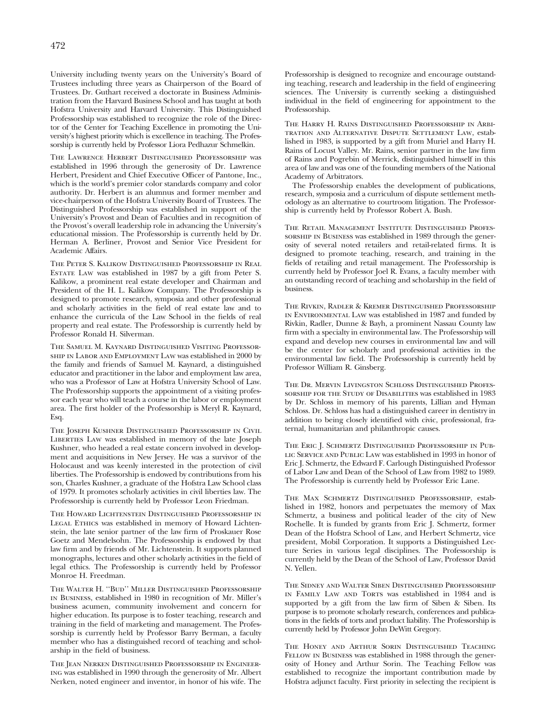University including twenty years on the University's Board of Trustees including three years as Chairperson of the Board of Trustees. Dr. Guthart received a doctorate in Business Administration from the Harvard Business School and has taught at both Hofstra University and Harvard University. This Distinguished Professorship was established to recognize the role of the Director of the Center for Teaching Excellence in promoting the University's highest priority which is excellence in teaching. The Professorship is currently held by Professor Liora Pedhazur Schmelkin.

THE LAWRENCE HERBERT DISTINGUISHED PROFESSORSHIP was established in 1996 through the generosity of Dr. Lawrence Herbert, President and Chief Executive Officer of Pantone, Inc., which is the world's premier color standards company and color authority. Dr. Herbert is an alumnus and former member and vice-chairperson of the Hofstra University Board of Trustees. The Distinguished Professorship was established in support of the University's Provost and Dean of Faculties and in recognition of the Provost's overall leadership role in advancing the University's educational mission. The Professorship is currently held by Dr. Herman A. Berliner, Provost and Senior Vice President for Academic Affairs.

The Peter S. Kalikow Distinguished Professorship in Real Estate Law was established in 1987 by a gift from Peter S. Kalikow, a prominent real estate developer and Chairman and President of the H. L. Kalikow Company. The Professorship is designed to promote research, symposia and other professional and scholarly activities in the field of real estate law and to enhance the curricula of the Law School in the fields of real property and real estate. The Professorship is currently held by Professor Ronald H. Silverman.

The Samuel M. Kaynard Distinguished Visiting Professorship in Labor and Employment Law was established in 2000 by the family and friends of Samuel M. Kaynard, a distinguished educator and practitioner in the labor and employment law area, who was a Professor of Law at Hofstra University School of Law. The Professorship supports the appointment of a visiting professor each year who will teach a course in the labor or employment area. The first holder of the Professorship is Meryl R. Kaynard, Esq.

The Joseph Kushner Distinguished Professorship in Civil LIBERTIES LAW was established in memory of the late Joseph Kushner, who headed a real estate concern involved in development and acquisitions in New Jersey. He was a survivor of the Holocaust and was keenly interested in the protection of civil liberties. The Professorship is endowed by contributions from his son, Charles Kushner, a graduate of the Hofstra Law School class of 1979. It promotes scholarly activities in civil liberties law. The Professorship is currently held by Professor Leon Friedman.

The Howard Lichtenstein Distinguished Professorship in LEGAL ETHICS was established in memory of Howard Lichtenstein, the late senior partner of the law firm of Proskauer Rose Goetz and Mendelsohn. The Professorship is endowed by that law firm and by friends of Mr. Lichtenstein. It supports planned monographs, lectures and other scholarly activities in the field of legal ethics. The Professorship is currently held by Professor Monroe H. Freedman.

The Walter H. ''Bud'' Miller Distinguished Professorship in Business, established in 1980 in recognition of Mr. Miller's business acumen, community involvement and concern for higher education. Its purpose is to foster teaching, research and training in the field of marketing and management. The Professorship is currently held by Professor Barry Berman, a faculty member who has a distinguished record of teaching and scholarship in the field of business.

The Jean Nerken Distinguished Professorship in Engineering was established in 1990 through the generosity of Mr. Albert Nerken, noted engineer and inventor, in honor of his wife. The Professorship is designed to recognize and encourage outstanding teaching, research and leadership in the field of engineering sciences. The University is currently seeking a distinguished individual in the field of engineering for appointment to the Professorship.

The Harry H. Rains Distinguished Professorship in Arbitration and Alternative Dispute Settlement Law, established in 1983, is supported by a gift from Muriel and Harry H. Rains of Locust Valley. Mr. Rains, senior partner in the law firm of Rains and Pogrebin of Merrick, distinguished himself in this area of law and was one of the founding members of the National Academy of Arbitrators.

The Professorship enables the development of publications, research, symposia and a curriculum of dispute settlement methodology as an alternative to courtroom litigation. The Professorship is currently held by Professor Robert A. Bush.

The Retail Management Institute Distinguished Professorship in Business was established in 1989 through the generosity of several noted retailers and retail-related firms. It is designed to promote teaching, research, and training in the fields of retailing and retail management. The Professorship is currently held by Professor Joel R. Evans, a faculty member with an outstanding record of teaching and scholarship in the field of business.

The Rivkin, Radler & Kremer Distinguished Professorship in Environmental Law was established in 1987 and funded by Rivkin, Radler, Dunne & Bayh, a prominent Nassau County law firm with a specialty in environmental law. The Professorship will expand and develop new courses in environmental law and will be the center for scholarly and professional activities in the environmental law field. The Professorship is currently held by Professor William R. Ginsberg.

The Dr. Mervin Livingston Schloss Distinguished Professorship for the Study of Disabilities was established in 1983 by Dr. Schloss in memory of his parents, Lillian and Hyman Schloss. Dr. Schloss has had a distinguished career in dentistry in addition to being closely identified with civic, professional, fraternal, humanitarian and philanthropic causes.

The Eric J. Schmertz Distinguished Professorship in Public Service and Public Law was established in 1993 in honor of Eric J. Schmertz, the Edward F. Carlough Distinguished Professor of Labor Law and Dean of the School of Law from 1982 to 1989. The Professorship is currently held by Professor Eric Lane.

The Max Schmertz Distinguished Professorship, established in 1982, honors and perpetuates the memory of Max Schmertz, a business and political leader of the city of New Rochelle. It is funded by grants from Eric J. Schmertz, former Dean of the Hofstra School of Law, and Herbert Schmertz, vice president, Mobil Corporation. It supports a Distinguished Lecture Series in various legal disciplines. The Professorship is currently held by the Dean of the School of Law, Professor David N. Yellen.

The Sidney and Walter Siben Distinguished Professorship in Family Law and Torts was established in 1984 and is supported by a gift from the law firm of Siben & Siben. Its purpose is to promote scholarly research, conferences and publications in the fields of torts and product liability. The Professorship is currently held by Professor John DeWitt Gregory.

The Honey and Arthur Sorin Distinguished Teaching FELLOW IN BUSINESS was established in 1988 through the generosity of Honey and Arthur Sorin. The Teaching Fellow was established to recognize the important contribution made by Hofstra adjunct faculty. First priority in selecting the recipient is